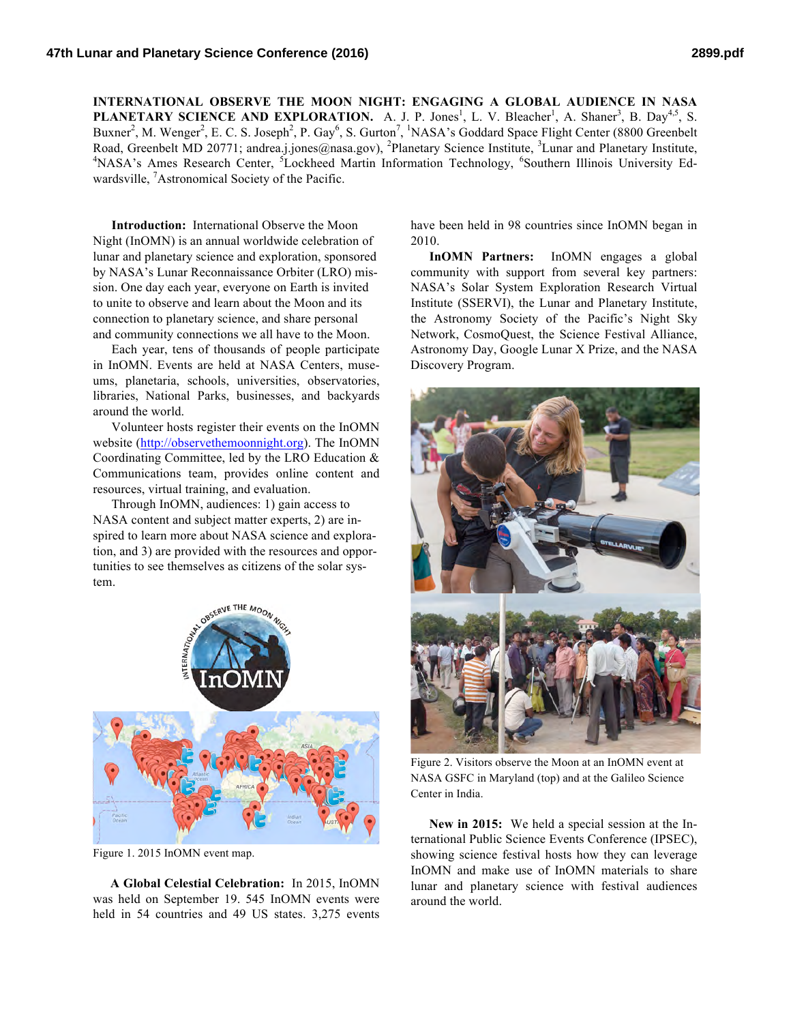**INTERNATIONAL OBSERVE THE MOON NIGHT: ENGAGING A GLOBAL AUDIENCE IN NASA PLANETARY SCIENCE AND EXPLORATION.** A. J. P. Jones<sup>1</sup>, L. V. Bleacher<sup>1</sup>, A. Shaner<sup>3</sup>, B. Day<sup>4,5</sup>, S. Buxner<sup>2</sup>, M. Wenger<sup>2</sup>, E. C. S. Joseph<sup>2</sup>, P. Gay<sup>6</sup>, S. Gurton<sup>7</sup>, <sup>1</sup>NASA's Goddard Space Flight Center (8800 Greenbelt Road, Greenbelt MD 20771; andrea.j.jones@nasa.gov), <sup>2</sup>Planetary Science Institute, <sup>3</sup>Lunar and Planetary Institute, <sup>4</sup>NASA's Armos Bessex Conter. <sup>5</sup>Legislated Mertin Information Technology, <sup>6</sup>Southern Illineis Univers NASA's Ames Research Center, <sup>5</sup>Lockheed Martin Information Technology, <sup>6</sup>Southern Illinois University Edwardsville, <sup>7</sup>Astronomical Society of the Pacific.

**Introduction:** International Observe the Moon Night (InOMN) is an annual worldwide celebration of lunar and planetary science and exploration, sponsored by NASA's Lunar Reconnaissance Orbiter (LRO) mission. One day each year, everyone on Earth is invited to unite to observe and learn about the Moon and its connection to planetary science, and share personal and community connections we all have to the Moon.

Each year, tens of thousands of people participate in InOMN. Events are held at NASA Centers, museums, planetaria, schools, universities, observatories, libraries, National Parks, businesses, and backyards around the world.

Volunteer hosts register their events on the InOMN website (http://observethemoonnight.org). The InOMN Coordinating Committee, led by the LRO Education & Communications team, provides online content and resources, virtual training, and evaluation.

Through InOMN, audiences: 1) gain access to NASA content and subject matter experts, 2) are inspired to learn more about NASA science and exploration, and 3) are provided with the resources and opportunities to see themselves as citizens of the solar system.



Figure 1. 2015 InOMN event map.

**A Global Celestial Celebration:** In 2015, InOMN was held on September 19. 545 InOMN events were held in 54 countries and 49 US states. 3,275 events have been held in 98 countries since InOMN began in 2010.

**InOMN Partners:** InOMN engages a global community with support from several key partners: NASA's Solar System Exploration Research Virtual Institute (SSERVI), the Lunar and Planetary Institute, the Astronomy Society of the Pacific's Night Sky Network, CosmoQuest, the Science Festival Alliance, Astronomy Day, Google Lunar X Prize, and the NASA Discovery Program.



Figure 2. Visitors observe the Moon at an InOMN event at NASA GSFC in Maryland (top) and at the Galileo Science Center in India.

**New in 2015:** We held a special session at the International Public Science Events Conference (IPSEC), showing science festival hosts how they can leverage InOMN and make use of InOMN materials to share lunar and planetary science with festival audiences around the world.